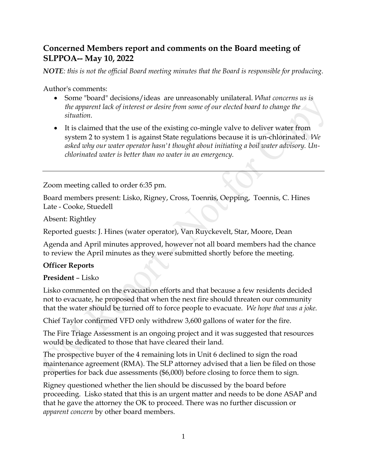# **Concerned Members report and comments on the Board meeting of SLPPOA-- May 10, 2022**

*NOTE: this is not the official Board meeting minutes that the Board is responsible for producing.*

Author's comments:

- Some "board" decisions/ideas are unreasonably unilateral. *What concerns us is the apparent lack of interest or desire from some of our elected board to change the situation.*
- It is claimed that the use of the existing co-mingle valve to deliver water from system 2 to system 1 is against State regulations because it is un-chlorinated. *We asked why our water operator hasn't thought about initiating a boil water advisory. Unchlorinated water is better than no water in an emergency.*

Zoom meeting called to order 6:35 pm.

Board members present: Lisko, Rigney, Cross, Toennis, Oepping, Toennis, C. Hines Late - Cooke, Stuedell

Absent: Rightley

Reported guests: J. Hines (water operator), Van Ruyckevelt, Star, Moore, Dean

Agenda and April minutes approved, however not all board members had the chance to review the April minutes as they were submitted shortly before the meeting.

#### **Officer Reports**

#### **President** – Lisko

Lisko commented on the evacuation efforts and that because a few residents decided not to evacuate, he proposed that when the next fire should threaten our community that the water should be turned off to force people to evacuate. *We hope that was a joke.*

Chief Taylor confirmed VFD only withdrew 3,600 gallons of water for the fire.

The Fire Triage Assessment is an ongoing project and it was suggested that resources would be dedicated to those that have cleared their land.

The prospective buyer of the 4 remaining lots in Unit 6 declined to sign the road maintenance agreement (RMA). The SLP attorney advised that a lien be filed on those properties for back due assessments (\$6,000) before closing to force them to sign.

Rigney questioned whether the lien should be discussed by the board before proceeding. Lisko stated that this is an urgent matter and needs to be done ASAP and that he gave the attorney the OK to proceed. There was no further discussion or *apparent concern* by other board members.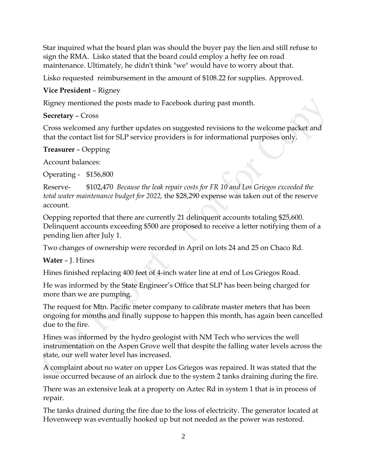Star inquired what the board plan was should the buyer pay the lien and still refuse to sign the RMA. Lisko stated that the board could employ a hefty fee on road maintenance. Ultimately, he didn't think "we" would have to worry about that.

Lisko requested reimbursement in the amount of \$108.22 for supplies. Approved.

### **Vice President** – Rigney

Rigney mentioned the posts made to Facebook during past month.

#### **Secretary** – Cross

Cross welcomed any further updates on suggested revisions to the welcome packet and that the contact list for SLP service providers is for informational purposes only.

#### **Treasurer** – Oepping

Account balances:

Operating - \$156,800

Reserve- \$102,470 *Because the leak repair costs for FR 10 and Los Griegos exceeded the total water maintenance budget for 2022,* the \$28,290 expense was taken out of the reserve account.

Oepping reported that there are currently 21 delinquent accounts totaling \$25,600. Delinquent accounts exceeding \$500 are proposed to receive a letter notifying them of a pending lien after July 1.

Two changes of ownership were recorded in April on lots 24 and 25 on Chaco Rd.

**Water** – J. Hines

Hines finished replacing 400 feet of 4-inch water line at end of Los Griegos Road.

He was informed by the State Engineer's Office that SLP has been being charged for more than we are pumping.

The request for Mtn. Pacific meter company to calibrate master meters that has been ongoing for months and finally suppose to happen this month, has again been cancelled due to the fire.

Hines was informed by the hydro geologist with NM Tech who services the well instrumentation on the Aspen Grove well that despite the falling water levels across the state, our well water level has increased.

A complaint about no water on upper Los Griegos was repaired. It was stated that the issue occurred because of an airlock due to the system 2 tanks draining during the fire.

There was an extensive leak at a property on Aztec Rd in system 1 that is in process of repair.

The tanks drained during the fire due to the loss of electricity. The generator located at Hovenweep was eventually hooked up but not needed as the power was restored.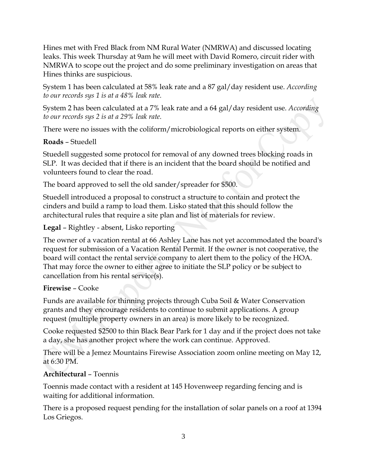Hines met with Fred Black from NM Rural Water (NMRWA) and discussed locating leaks. This week Thursday at 9am he will meet with David Romero, circuit rider with NMRWA to scope out the project and do some preliminary investigation on areas that Hines thinks are suspicious.

System 1 has been calculated at 58% leak rate and a 87 gal/day resident use. *According to our records sys 1 is at a 48% leak rate.*

System 2 has been calculated at a 7% leak rate and a 64 gal/day resident use. *According to our records sys 2 is at a 29% leak rate.*

There were no issues with the coliform/microbiological reports on either system.

## **Roads** – Stuedell

Stuedell suggested some protocol for removal of any downed trees blocking roads in SLP. It was decided that if there is an incident that the board should be notified and volunteers found to clear the road.

The board approved to sell the old sander/spreader for \$500.

Stuedell introduced a proposal to construct a structure to contain and protect the cinders and build a ramp to load them. Lisko stated that this should follow the architectural rules that require a site plan and list of materials for review.

**Legal** – Rightley - absent, Lisko reporting

The owner of a vacation rental at 66 Ashley Lane has not yet accommodated the board's request for submission of a Vacation Rental Permit. If the owner is not cooperative, the board will contact the rental service company to alert them to the policy of the HOA. That may force the owner to either agree to initiate the SLP policy or be subject to cancellation from his rental service(s).

## **Firewise** – Cooke

Funds are available for thinning projects through Cuba Soil & Water Conservation grants and they encourage residents to continue to submit applications. A group request (multiple property owners in an area) is more likely to be recognized.

Cooke requested \$2500 to thin Black Bear Park for 1 day and if the project does not take a day, she has another project where the work can continue. Approved.

There will be a Jemez Mountains Firewise Association zoom online meeting on May 12, at 6:30 PM.

## **Architectural** – Toennis

Toennis made contact with a resident at 145 Hovenweep regarding fencing and is waiting for additional information.

There is a proposed request pending for the installation of solar panels on a roof at 1394 Los Griegos.